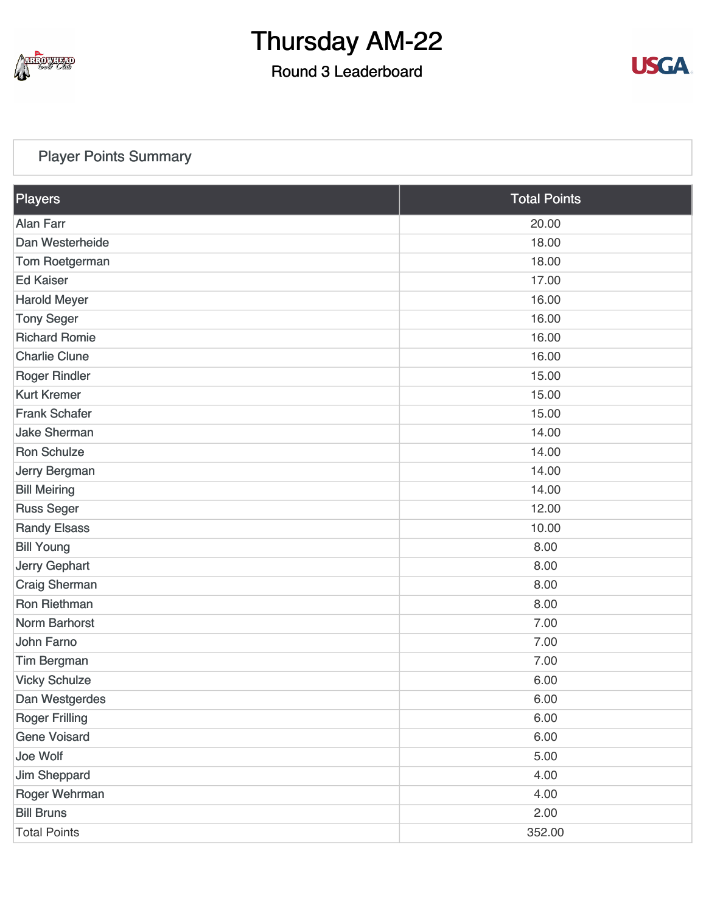

### Round 3 Leaderboard



#### [Player Points Summary](https://static.golfgenius.com/v2tournaments/total_points?league_id=8234394788888061414&round_id=8404776548736968066)

| Players               | <b>Total Points</b> |
|-----------------------|---------------------|
| <b>Alan Farr</b>      | 20.00               |
| Dan Westerheide       | 18.00               |
| Tom Roetgerman        | 18.00               |
| <b>Ed Kaiser</b>      | 17.00               |
| <b>Harold Meyer</b>   | 16.00               |
| <b>Tony Seger</b>     | 16.00               |
| <b>Richard Romie</b>  | 16.00               |
| <b>Charlie Clune</b>  | 16.00               |
| <b>Roger Rindler</b>  | 15.00               |
| <b>Kurt Kremer</b>    | 15.00               |
| <b>Frank Schafer</b>  | 15.00               |
| <b>Jake Sherman</b>   | 14.00               |
| <b>Ron Schulze</b>    | 14.00               |
| Jerry Bergman         | 14.00               |
| <b>Bill Meiring</b>   | 14.00               |
| <b>Russ Seger</b>     | 12.00               |
| <b>Randy Elsass</b>   | 10.00               |
| <b>Bill Young</b>     | 8.00                |
| Jerry Gephart         | 8.00                |
| <b>Craig Sherman</b>  | 8.00                |
| Ron Riethman          | 8.00                |
| <b>Norm Barhorst</b>  | 7.00                |
| John Farno            | 7.00                |
| <b>Tim Bergman</b>    | 7.00                |
| <b>Vicky Schulze</b>  | 6.00                |
| Dan Westgerdes        | 6.00                |
| <b>Roger Frilling</b> | 6.00                |
| <b>Gene Voisard</b>   | 6.00                |
| Joe Wolf              | 5.00                |
| <b>Jim Sheppard</b>   | 4.00                |
| Roger Wehrman         | 4.00                |
| <b>Bill Bruns</b>     | 2.00                |
| <b>Total Points</b>   | 352.00              |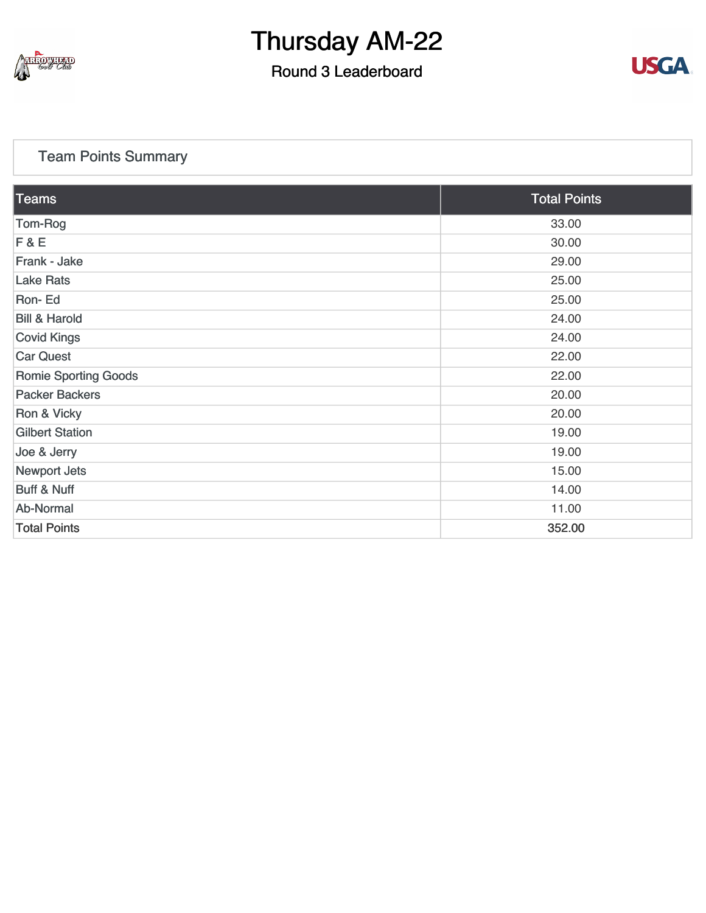

### Round 3 Leaderboard



#### [Team Points Summary](https://static.golfgenius.com/v2tournaments/team_points?league_id=8234394788888061414&round_id=8404776548736968066)

| Teams                       | <b>Total Points</b> |
|-----------------------------|---------------------|
| Tom-Rog                     | 33.00               |
| F & E                       | 30.00               |
| Frank - Jake                | 29.00               |
| <b>Lake Rats</b>            | 25.00               |
| Ron-Ed                      | 25.00               |
| <b>Bill &amp; Harold</b>    | 24.00               |
| <b>Covid Kings</b>          | 24.00               |
| <b>Car Quest</b>            | 22.00               |
| <b>Romie Sporting Goods</b> | 22.00               |
| <b>Packer Backers</b>       | 20.00               |
| Ron & Vicky                 | 20.00               |
| <b>Gilbert Station</b>      | 19.00               |
| Joe & Jerry                 | 19.00               |
| Newport Jets                | 15.00               |
| <b>Buff &amp; Nuff</b>      | 14.00               |
| Ab-Normal                   | 11.00               |
| <b>Total Points</b>         | 352.00              |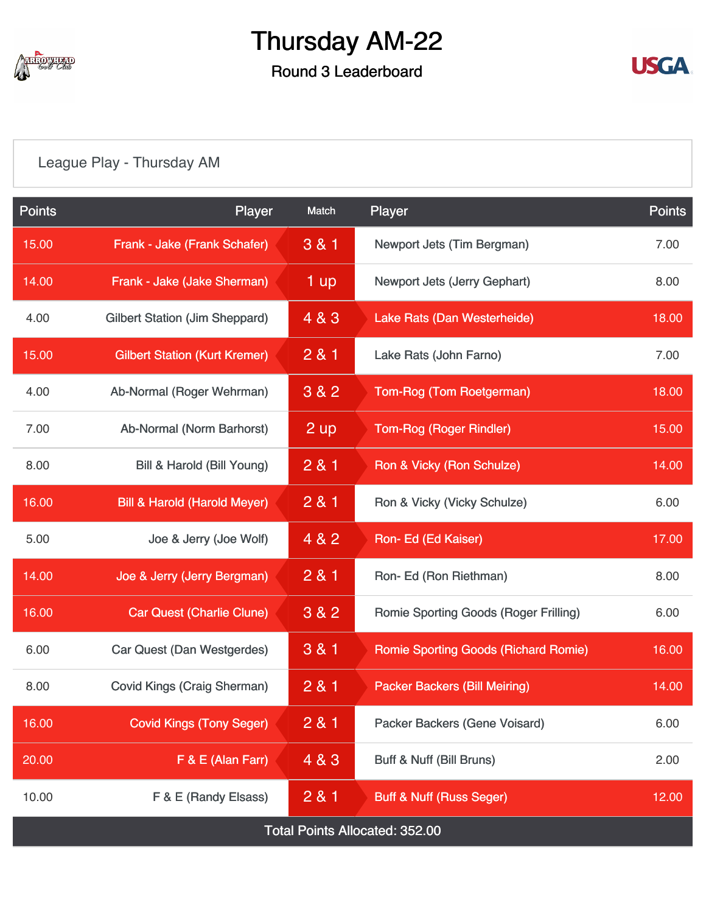

### Round 3 Leaderboard



## [League Play - Thursday AM](https://static.golfgenius.com/v2tournaments/8404787880504862000?called_from=&round_index=3)

| <b>Points</b>                         | Player                                  | Match   | Player                                      | <b>Points</b> |  |  |
|---------------------------------------|-----------------------------------------|---------|---------------------------------------------|---------------|--|--|
| 15.00                                 | Frank - Jake (Frank Schafer)            | 3 & 1   | Newport Jets (Tim Bergman)                  | 7.00          |  |  |
| 14.00                                 | Frank - Jake (Jake Sherman)             | 1 up    | Newport Jets (Jerry Gephart)                | 8.00          |  |  |
| 4.00                                  | <b>Gilbert Station (Jim Sheppard)</b>   | 4 & 3   | Lake Rats (Dan Westerheide)                 |               |  |  |
| 15.00                                 | <b>Gilbert Station (Kurt Kremer)</b>    | 281     | Lake Rats (John Farno)                      | 7.00          |  |  |
| 4.00                                  | Ab-Normal (Roger Wehrman)               | 3 & 2   | Tom-Rog (Tom Roetgerman)                    | 18.00         |  |  |
| 7.00                                  | Ab-Normal (Norm Barhorst)               | 2 up    | <b>Tom-Rog (Roger Rindler)</b>              | 15.00         |  |  |
| 8.00                                  | Bill & Harold (Bill Young)              | 2 & 1   | Ron & Vicky (Ron Schulze)                   | 14.00         |  |  |
| 16.00                                 | <b>Bill &amp; Harold (Harold Meyer)</b> | 2 & 1   | Ron & Vicky (Vicky Schulze)                 | 6.00          |  |  |
| 5.00                                  | Joe & Jerry (Joe Wolf)                  | 4 & 2   | Ron- Ed (Ed Kaiser)                         | 17.00         |  |  |
| 14.00                                 | Joe & Jerry (Jerry Bergman)             | 2 & 1   | Ron-Ed (Ron Riethman)                       | 8.00          |  |  |
| 16.00                                 | <b>Car Quest (Charlie Clune)</b>        | $3 & 2$ | Romie Sporting Goods (Roger Frilling)       | 6.00          |  |  |
| 6.00                                  | Car Quest (Dan Westgerdes)              | 3 & 1   | <b>Romie Sporting Goods (Richard Romie)</b> | 16.00         |  |  |
| 8.00                                  | <b>Covid Kings (Craig Sherman)</b>      | 281     | <b>Packer Backers (Bill Meiring)</b>        | 14.00         |  |  |
| 16.00                                 | <b>Covid Kings (Tony Seger)</b>         | 2 & 1   | Packer Backers (Gene Voisard)               | 6.00          |  |  |
| 20.00                                 | F & E (Alan Farr)                       | 4 & 3   | Buff & Nuff (Bill Bruns)                    | 2.00          |  |  |
| 10.00                                 | F & E (Randy Elsass)                    | 281     | <b>Buff &amp; Nuff (Russ Seger)</b>         | 12.00         |  |  |
| <b>Total Points Allocated: 352.00</b> |                                         |         |                                             |               |  |  |